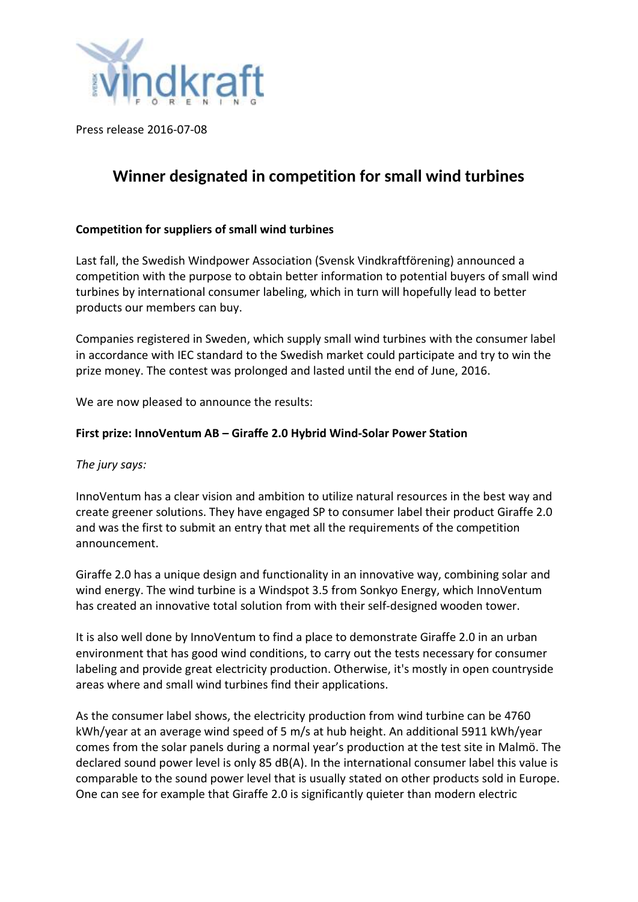

Press release 2016-07-08

## **Winner designated in competition for small wind turbines**

## **Competition for suppliers of small wind turbines**

Last fall, the Swedish Windpower Association (Svensk Vindkraftförening) announced a competition with the purpose to obtain better information to potential buyers of small wind turbines by international consumer labeling, which in turn will hopefully lead to better products our members can buy.

Companies registered in Sweden, which supply small wind turbines with the consumer label in accordance with IEC standard to the Swedish market could participate and try to win the prize money. The contest was prolonged and lasted until the end of June, 2016.

We are now pleased to announce the results:

## **First prize: InnoVentum AB – Giraffe 2.0 Hybrid Wind-Solar Power Station**

*The jury says:*

InnoVentum has a clear vision and ambition to utilize natural resources in the best way and create greener solutions. They have engaged SP to consumer label their product Giraffe 2.0 and was the first to submit an entry that met all the requirements of the competition announcement.

Giraffe 2.0 has a unique design and functionality in an innovative way, combining solar and wind energy. The wind turbine is a Windspot 3.5 from Sonkyo Energy, which InnoVentum has created an innovative total solution from with their self-designed wooden tower.

It is also well done by InnoVentum to find a place to demonstrate Giraffe 2.0 in an urban environment that has good wind conditions, to carry out the tests necessary for consumer labeling and provide great electricity production. Otherwise, it's mostly in open countryside areas where and small wind turbines find their applications.

As the consumer label shows, the electricity production from wind turbine can be 4760 kWh/year at an average wind speed of 5 m/s at hub height. An additional 5911 kWh/year comes from the solar panels during a normal year's production at the test site in Malmö. The declared sound power level is only 85 dB(A). In the international consumer label this value is comparable to the sound power level that is usually stated on other products sold in Europe. One can see for example that Giraffe 2.0 is significantly quieter than modern electric